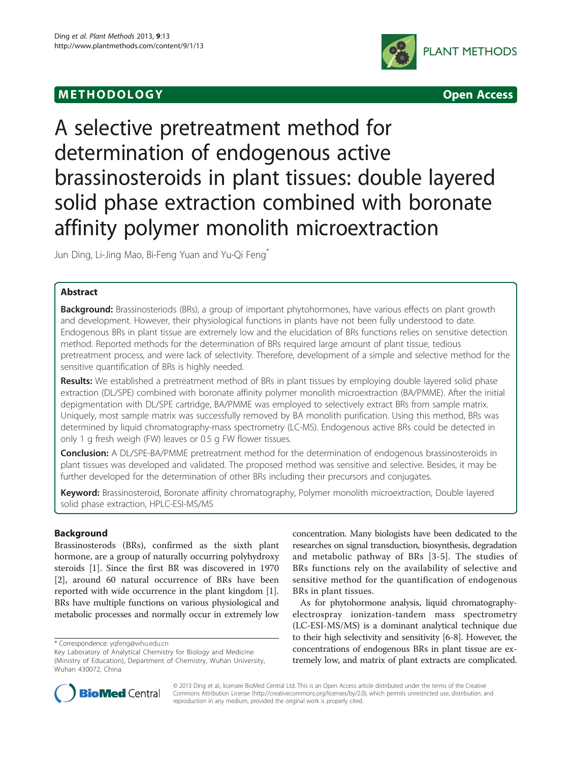# M E THODO L OGY Open Access



# A selective pretreatment method for determination of endogenous active brassinosteroids in plant tissues: double layered solid phase extraction combined with boronate affinity polymer monolith microextraction

Jun Ding, Li-Jing Mao, Bi-Feng Yuan and Yu-Qi Feng\*

# **Abstract**

Background: Brassinosteriods (BRs), a group of important phytohormones, have various effects on plant growth and development. However, their physiological functions in plants have not been fully understood to date. Endogenous BRs in plant tissue are extremely low and the elucidation of BRs functions relies on sensitive detection method. Reported methods for the determination of BRs required large amount of plant tissue, tedious pretreatment process, and were lack of selectivity. Therefore, development of a simple and selective method for the sensitive quantification of BRs is highly needed.

Results: We established a pretreatment method of BRs in plant tissues by employing double layered solid phase extraction (DL/SPE) combined with boronate affinity polymer monolith microextraction (BA/PMME). After the initial depigmentation with DL/SPE cartridge, BA/PMME was employed to selectively extract BRs from sample matrix. Uniquely, most sample matrix was successfully removed by BA monolith purification. Using this method, BRs was determined by liquid chromatography-mass spectrometry (LC-MS). Endogenous active BRs could be detected in only 1 g fresh weigh (FW) leaves or 0.5 g FW flower tissues.

Conclusion: A DL/SPE-BA/PMME pretreatment method for the determination of endogenous brassinosteroids in plant tissues was developed and validated. The proposed method was sensitive and selective. Besides, it may be further developed for the determination of other BRs including their precursors and conjugates.

Keyword: Brassinosteroid, Boronate affinity chromatography, Polymer monolith microextraction, Double layered solid phase extraction, HPLC-ESI-MS/MS

# Background

Brassinosterods (BRs), confirmed as the sixth plant hormone, are a group of naturally occurring polyhydroxy steroids [\[1\]](#page-7-0). Since the first BR was discovered in 1970 [[2\]](#page-7-0), around 60 natural occurrence of BRs have been reported with wide occurrence in the plant kingdom [\[1](#page-7-0)]. BRs have multiple functions on various physiological and metabolic processes and normally occur in extremely low

concentration. Many biologists have been dedicated to the researches on signal transduction, biosynthesis, degradation and metabolic pathway of BRs [[3-5\]](#page-7-0). The studies of BRs functions rely on the availability of selective and sensitive method for the quantification of endogenous BRs in plant tissues.

As for phytohormone analysis, liquid chromatographyelectrospray ionization-tandem mass spectrometry (LC-ESI-MS/MS) is a dominant analytical technique due to their high selectivity and sensitivity [\[6](#page-7-0)[-8](#page-8-0)]. However, the concentrations of endogenous BRs in plant tissue are extremely low, and matrix of plant extracts are complicated.



© 2013 Ding et al.; licensee BioMed Central Ltd. This is an Open Access article distributed under the terms of the Creative Commons Attribution License [\(http://creativecommons.org/licenses/by/2.0\)](http://creativecommons.org/licenses/by/2.0), which permits unrestricted use, distribution, and reproduction in any medium, provided the original work is properly cited.

<sup>\*</sup> Correspondence: [yqfeng@whu.edu.cn](mailto:yqfeng@whu.edu.cn)

Key Laboratory of Analytical Chemistry for Biology and Medicine (Ministry of Education), Department of Chemistry, Wuhan University, Wuhan 430072, China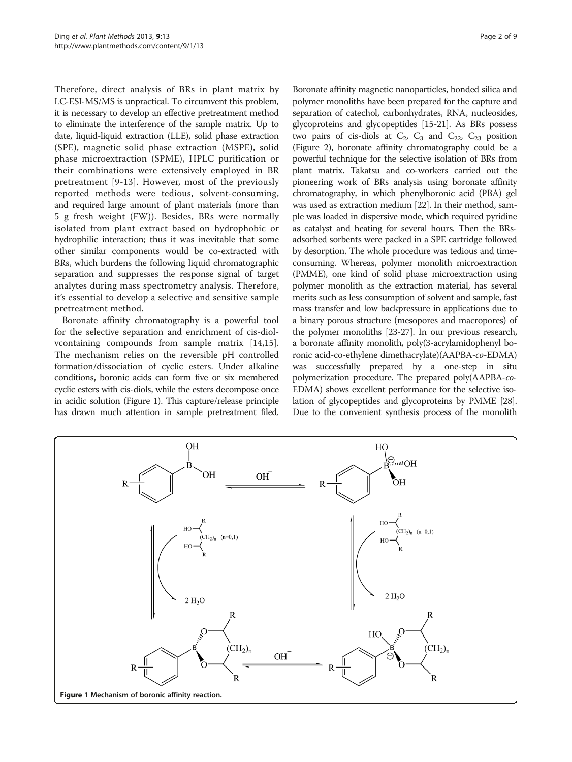Therefore, direct analysis of BRs in plant matrix by LC-ESI-MS/MS is unpractical. To circumvent this problem, it is necessary to develop an effective pretreatment method to eliminate the interference of the sample matrix. Up to date, liquid-liquid extraction (LLE), solid phase extraction (SPE), magnetic solid phase extraction (MSPE), solid phase microextraction (SPME), HPLC purification or their combinations were extensively employed in BR pretreatment [[9-13\]](#page-8-0). However, most of the previously reported methods were tedious, solvent-consuming, and required large amount of plant materials (more than 5 g fresh weight (FW)). Besides, BRs were normally isolated from plant extract based on hydrophobic or hydrophilic interaction; thus it was inevitable that some other similar components would be co-extracted with BRs, which burdens the following liquid chromatographic separation and suppresses the response signal of target analytes during mass spectrometry analysis. Therefore, it's essential to develop a selective and sensitive sample pretreatment method.

Boronate affinity chromatography is a powerful tool for the selective separation and enrichment of cis-diolvcontaining compounds from sample matrix [\[14,15](#page-8-0)]. The mechanism relies on the reversible pH controlled formation/dissociation of cyclic esters. Under alkaline conditions, boronic acids can form five or six membered cyclic esters with cis-diols, while the esters decompose once in acidic solution (Figure 1). This capture/release principle has drawn much attention in sample pretreatment filed.

Boronate affinity magnetic nanoparticles, bonded silica and polymer monoliths have been prepared for the capture and separation of catechol, carbonhydrates, RNA, nucleosides, glycoproteins and glycopeptides [\[15-21\]](#page-8-0). As BRs possess two pairs of cis-diols at  $C_2$ ,  $C_3$  and  $C_{22}$ ,  $C_{23}$  position (Figure [2](#page-2-0)), boronate affinity chromatography could be a powerful technique for the selective isolation of BRs from plant matrix. Takatsu and co-workers carried out the pioneering work of BRs analysis using boronate affinity chromatography, in which phenylboronic acid (PBA) gel was used as extraction medium [[22](#page-8-0)]. In their method, sample was loaded in dispersive mode, which required pyridine as catalyst and heating for several hours. Then the BRsadsorbed sorbents were packed in a SPE cartridge followed by desorption. The whole procedure was tedious and timeconsuming. Whereas, polymer monolith microextraction (PMME), one kind of solid phase microextraction using polymer monolith as the extraction material, has several merits such as less consumption of solvent and sample, fast mass transfer and low backpressure in applications due to a binary porous structure (mesopores and macropores) of the polymer monoliths [[23-27\]](#page-8-0). In our previous research, a boronate affinity monolith, poly(3-acrylamidophenyl boronic acid-co-ethylene dimethacrylate)(AAPBA-co-EDMA) was successfully prepared by a one-step in situ polymerization procedure. The prepared poly(AAPBA-co-EDMA) shows excellent performance for the selective isolation of glycopeptides and glycoproteins by PMME [\[28](#page-8-0)]. Due to the convenient synthesis process of the monolith

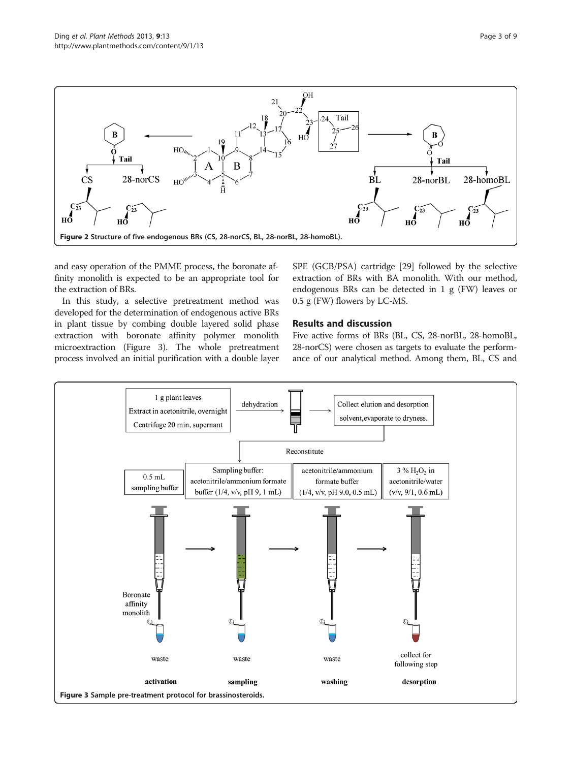<span id="page-2-0"></span>

and easy operation of the PMME process, the boronate affinity monolith is expected to be an appropriate tool for the extraction of BRs.

In this study, a selective pretreatment method was developed for the determination of endogenous active BRs in plant tissue by combing double layered solid phase extraction with boronate affinity polymer monolith microextraction (Figure 3). The whole pretreatment process involved an initial purification with a double layer SPE (GCB/PSA) cartridge [[29](#page-8-0)] followed by the selective extraction of BRs with BA monolith. With our method, endogenous BRs can be detected in 1 g (FW) leaves or 0.5 g (FW) flowers by LC-MS.

# Results and discussion

Five active forms of BRs (BL, CS, 28-norBL, 28-homoBL, 28-norCS) were chosen as targets to evaluate the performance of our analytical method. Among them, BL, CS and

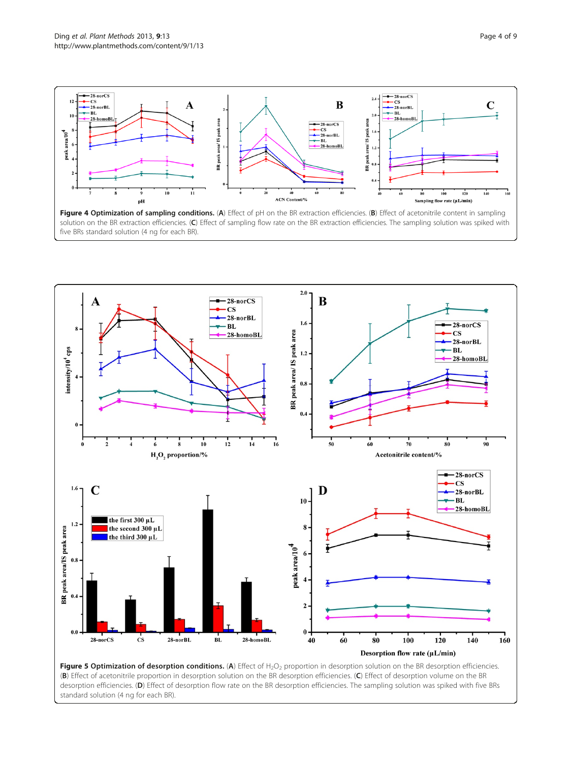<span id="page-3-0"></span>

five BRs standard solution (4 ng for each BR).



desorption efficiencies. (D) Effect of desorption flow rate on the BR desorption efficiencies. The sampling solution was spiked with five BRs standard solution (4 ng for each BR).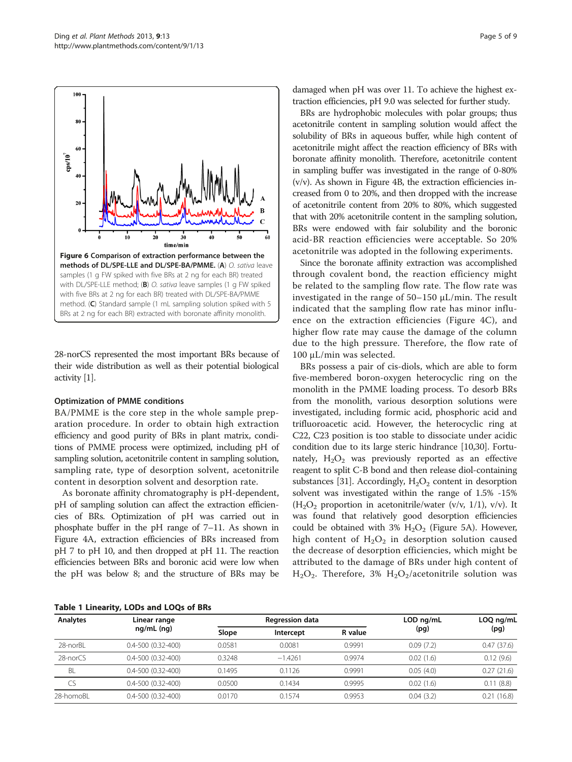<span id="page-4-0"></span>

28-norCS represented the most important BRs because of their wide distribution as well as their potential biological activity [\[1\]](#page-7-0).

#### Optimization of PMME conditions

BA/PMME is the core step in the whole sample preparation procedure. In order to obtain high extraction efficiency and good purity of BRs in plant matrix, conditions of PMME process were optimized, including pH of sampling solution, acetonitrile content in sampling solution, sampling rate, type of desorption solvent, acetonitrile content in desorption solvent and desorption rate.

As boronate affinity chromatography is pH-dependent, pH of sampling solution can affect the extraction efficiencies of BRs. Optimization of pH was carried out in phosphate buffer in the pH range of 7–11. As shown in Figure [4](#page-3-0)A, extraction efficiencies of BRs increased from pH 7 to pH 10, and then dropped at pH 11. The reaction efficiencies between BRs and boronic acid were low when the pH was below 8; and the structure of BRs may be damaged when pH was over 11. To achieve the highest extraction efficiencies, pH 9.0 was selected for further study.

BRs are hydrophobic molecules with polar groups; thus acetonitrile content in sampling solution would affect the solubility of BRs in aqueous buffer, while high content of acetonitrile might affect the reaction efficiency of BRs with boronate affinity monolith. Therefore, acetonitrile content in sampling buffer was investigated in the range of 0-80%  $(v/v)$ . As shown in Figure [4](#page-3-0)B, the extraction efficiencies increased from 0 to 20%, and then dropped with the increase of acetonitrile content from 20% to 80%, which suggested that with 20% acetonitrile content in the sampling solution, BRs were endowed with fair solubility and the boronic acid-BR reaction efficiencies were acceptable. So 20% acetonitrile was adopted in the following experiments.

Since the boronate affinity extraction was accomplished through covalent bond, the reaction efficiency might be related to the sampling flow rate. The flow rate was investigated in the range of 50–150 μL/min. The result indicated that the sampling flow rate has minor influence on the extraction efficiencies (Figure [4](#page-3-0)C), and higher flow rate may cause the damage of the column due to the high pressure. Therefore, the flow rate of 100 μL/min was selected.

BRs possess a pair of cis-diols, which are able to form five-membered boron-oxygen heterocyclic ring on the monolith in the PMME loading process. To desorb BRs from the monolith, various desorption solutions were investigated, including formic acid, phosphoric acid and trifluoroacetic acid. However, the heterocyclic ring at C22, C23 position is too stable to dissociate under acidic condition due to its large steric hindrance [\[10,30](#page-8-0)]. Fortunately,  $H_2O_2$  was previously reported as an effective reagent to split C-B bond and then release diol-containing substances [[31](#page-8-0)]. Accordingly,  $H_2O_2$  content in desorption solvent was investigated within the range of 1.5% -15%  $(H<sub>2</sub>O<sub>2</sub>$  proportion in acetonitrile/water (v/v, 1/1), v/v). It was found that relatively good desorption efficiencies could be obtained with 3%  $H_2O_2$  (Figure [5](#page-3-0)A). However, high content of  $H_2O_2$  in desorption solution caused the decrease of desorption efficiencies, which might be attributed to the damage of BRs under high content of  $H_2O_2$ . Therefore, 3%  $H_2O_2$ /acetonitrile solution was

|  |  | Table 1 Linearity, LODs and LOQs of BRs |  |  |  |  |  |
|--|--|-----------------------------------------|--|--|--|--|--|
|--|--|-----------------------------------------|--|--|--|--|--|

| Analytes       | Linear range               | <b>Regression data</b> |           |         | LOD ng/mL | LOQ ng/mL  |
|----------------|----------------------------|------------------------|-----------|---------|-----------|------------|
|                | $ng/mL$ (ng)               | Slope                  | Intercept | R value | (pg)      | (pg)       |
| 28-norBL       | $0.4 - 500$ $(0.32 - 400)$ | 0.0581                 | 0.0081    | 0.9991  | 0.09(7.2) | 0.47(37.6) |
| $28$ -nor $CS$ | $0.4 - 500$ $(0.32 - 400)$ | 0.3248                 | $-1.4261$ | 0.9974  | 0.02(1.6) | 0.12(9.6)  |
| BL             | $0.4 - 500$ $(0.32 - 400)$ | 0.1495                 | 0.1126    | 0.9991  | 0.05(4.0) | 0.27(21.6) |
| CS             | $0.4 - 500$ $(0.32 - 400)$ | 0.0500                 | 0.1434    | 0.9995  | 0.02(1.6) | 0.11(8.8)  |
| 28-homoBL      | $0.4 - 500$ $(0.32 - 400)$ | 0.0170                 | 0.1574    | 0.9953  | 0.04(3.2) | 0.21(16.8) |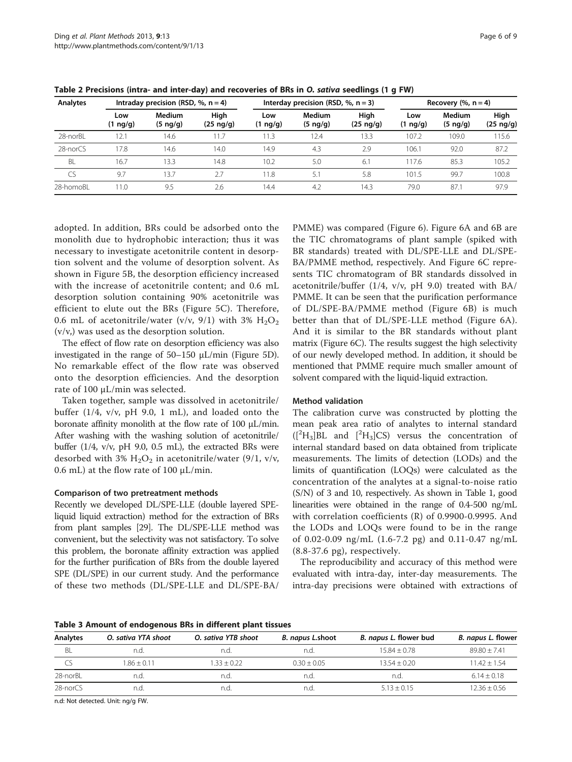| Analytes  | Intraday precision (RSD, $\%$ , n = 4) |                                |                          | Interday precision (RSD, $% n = 3$ ) |                           |                          | Recovery $(\%$ , $n = 4)$ |                           |                          |
|-----------|----------------------------------------|--------------------------------|--------------------------|--------------------------------------|---------------------------|--------------------------|---------------------------|---------------------------|--------------------------|
|           | Low<br>$(1 \nmid q/g)$                 | <b>Medium</b><br>$(5 \nmid q)$ | High<br>$(25 \nmid q/q)$ | Low<br>$(1 \nmid q/g)$               | Medium<br>$(5 \nmid q/g)$ | High<br>$(25 \nmid q/g)$ | Low<br>$(1 \nmid q/g)$    | Medium<br>$(5 \nmid q/g)$ | High<br>$(25 \nmid q/g)$ |
| 28-norBL  | 12.1                                   | 14.6                           | 11.7                     | 11.3                                 | 12.4                      | 13.3                     | 107.2                     | 109.0                     | 115.6                    |
| 28-norCS  | 17.8                                   | 14.6                           | 14.0                     | 14.9                                 | 4.3                       | 2.9                      | 106.                      | 92.0                      | 87.2                     |
| BL        | 16.7                                   | 13.3                           | 14.8                     | 10.2                                 | 5.0                       | 6.1                      | 117.6                     | 85.3                      | 105.2                    |
| CS        | 9.7                                    | 13.7                           | 2.7                      | 11.8                                 | 5.1                       | 5.8                      | 101.5                     | 99.7                      | 100.8                    |
| 28-homoBL | 11.0                                   | 9.5                            | 2.6                      | 14.4                                 | 4.2                       | 14.3                     | 79.0                      | 87.1                      | 97.9                     |

<span id="page-5-0"></span>Table 2 Precisions (intra- and inter-day) and recoveries of BRs in O. sativa seedlings (1 g FW)

adopted. In addition, BRs could be adsorbed onto the monolith due to hydrophobic interaction; thus it was necessary to investigate acetonitrile content in desorption solvent and the volume of desorption solvent. As shown in Figure [5](#page-3-0)B, the desorption efficiency increased with the increase of acetonitrile content; and 0.6 mL desorption solution containing 90% acetonitrile was efficient to elute out the BRs (Figure [5](#page-3-0)C). Therefore, 0.6 mL of acetonitrile/water (v/v, 9/1) with 3%  $H_2O_2$ (v/v,) was used as the desorption solution.

The effect of flow rate on desorption efficiency was also investigated in the range of  $50-150 \mu L/min$  (Figure [5](#page-3-0)D). No remarkable effect of the flow rate was observed onto the desorption efficiencies. And the desorption rate of 100 μL/min was selected.

Taken together, sample was dissolved in acetonitrile/ buffer  $(1/4, v/v, pH 9.0, 1 mL)$ , and loaded onto the boronate affinity monolith at the flow rate of 100 μL/min. After washing with the washing solution of acetonitrile/ buffer (1/4, v/v, pH 9.0, 0.5 mL), the extracted BRs were desorbed with 3%  $H_2O_2$  in acetonitrile/water (9/1, v/v, 0.6 mL) at the flow rate of 100  $\mu$ L/min.

## Comparison of two pretreatment methods

Recently we developed DL/SPE-LLE (double layered SPEliquid liquid extraction) method for the extraction of BRs from plant samples [\[29](#page-8-0)]. The DL/SPE-LLE method was convenient, but the selectivity was not satisfactory. To solve this problem, the boronate affinity extraction was applied for the further purification of BRs from the double layered SPE (DL/SPE) in our current study. And the performance of these two methods (DL/SPE-LLE and DL/SPE-BA/

PMME) was compared (Figure [6\)](#page-4-0). Figure [6A](#page-4-0) and [6B](#page-4-0) are the TIC chromatograms of plant sample (spiked with BR standards) treated with DL/SPE-LLE and DL/SPE-BA/PMME method, respectively. And Figure [6C](#page-4-0) represents TIC chromatogram of BR standards dissolved in acetonitrile/buffer (1/4, v/v, pH 9.0) treated with BA/ PMME. It can be seen that the purification performance of DL/SPE-BA/PMME method (Figure [6B](#page-4-0)) is much better than that of DL/SPE-LLE method (Figure [6A](#page-4-0)). And it is similar to the BR standards without plant matrix (Figure [6C](#page-4-0)). The results suggest the high selectivity of our newly developed method. In addition, it should be mentioned that PMME require much smaller amount of solvent compared with the liquid-liquid extraction.

#### Method validation

The calibration curve was constructed by plotting the mean peak area ratio of analytes to internal standard  $({}^{2}H_{3}]BL$  and  $[{}^{2}H_{3}]CS$ ) versus the concentration of internal standard based on data obtained from triplicate measurements. The limits of detection (LODs) and the limits of quantification (LOQs) were calculated as the concentration of the analytes at a signal-to-noise ratio (S/N) of 3 and 10, respectively. As shown in Table [1,](#page-4-0) good linearities were obtained in the range of 0.4-500 ng/mL with correlation coefficients (R) of 0.9900-0.9995. And the LODs and LOQs were found to be in the range of 0.02-0.09 ng/mL (1.6-7.2 pg) and 0.11-0.47 ng/mL (8.8-37.6 pg), respectively.

The reproducibility and accuracy of this method were evaluated with intra-day, inter-day measurements. The intra-day precisions were obtained with extractions of

Table 3 Amount of endogenous BRs in different plant tissues

| Analytes | O. sativa YTA shoot | O. sativa YTB shoot | B. napus L.shoot | B. napus L. flower bud | <i>B. napus L. flower</i> |  |
|----------|---------------------|---------------------|------------------|------------------------|---------------------------|--|
| BL       | n.d                 | n.d.                | n.d              | $15.84 + 0.78$         | $89.80 + 7.41$            |  |
| CS       | $1.86 + 0.11$       | $1.33 + 0.22$       | $0.30 + 0.05$    | $13.54 + 0.20$         | $11.42 + 1.54$            |  |
| 28-norBL | n.d                 | n.d.                | n.d.             | n.d                    | $6.14 + 0.18$             |  |
| 28-norCS | n.d.                | n.d.                | n.a              | $5.13 + 0.15$          | $12.36 + 0.56$            |  |

n.d: Not detected. Unit: ng/g FW.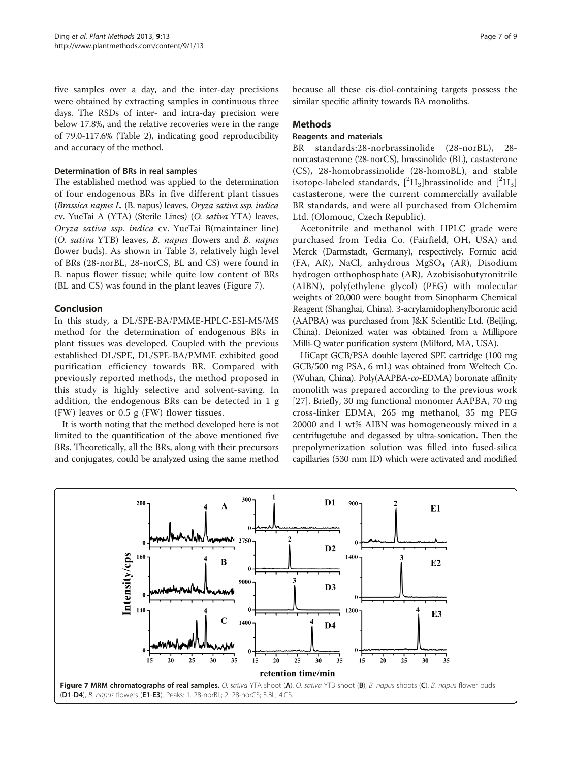five samples over a day, and the inter-day precisions were obtained by extracting samples in continuous three days. The RSDs of inter- and intra-day precision were below 17.8%, and the relative recoveries were in the range of 79.0-117.6% (Table [2\)](#page-5-0), indicating good reproducibility and accuracy of the method.

# Determination of BRs in real samples

The established method was applied to the determination of four endogenous BRs in five different plant tissues (Brassica napus L. (B. napus) leaves, Oryza sativa ssp. indica cv. YueTai A (YTA) (Sterile Lines) (O. sativa YTA) leaves, Oryza sativa ssp. indica cv. YueTai B(maintainer line) (O. sativa YTB) leaves, B. napus flowers and B. napus flower buds). As shown in Table [3,](#page-5-0) relatively high level of BRs (28-norBL, 28-norCS, BL and CS) were found in B. napus flower tissue; while quite low content of BRs (BL and CS) was found in the plant leaves (Figure 7).

# Conclusion

In this study, a DL/SPE-BA/PMME-HPLC-ESI-MS/MS method for the determination of endogenous BRs in plant tissues was developed. Coupled with the previous established DL/SPE, DL/SPE-BA/PMME exhibited good purification efficiency towards BR. Compared with previously reported methods, the method proposed in this study is highly selective and solvent-saving. In addition, the endogenous BRs can be detected in 1 g (FW) leaves or 0.5 g (FW) flower tissues.

It is worth noting that the method developed here is not limited to the quantification of the above mentioned five BRs. Theoretically, all the BRs, along with their precursors and conjugates, could be analyzed using the same method

because all these cis-diol-containing targets possess the similar specific affinity towards BA monoliths.

# Methods

## Reagents and materials

BR standards:28-norbrassinolide (28-norBL), 28 norcastasterone (28-norCS), brassinolide (BL), castasterone (CS), 28-homobrassinolide (28-homoBL), and stable isotope-labeled standards,  $[^{2}H_{3}]$ brassinolide and  $[^{2}H_{3}]$ castasterone, were the current commercially available BR standards, and were all purchased from Olchemim Ltd. (Olomouc, Czech Republic).

Acetonitrile and methanol with HPLC grade were purchased from Tedia Co. (Fairfield, OH, USA) and Merck (Darmstadt, Germany), respectively. Formic acid (FA, AR), NaCl, anhydrous  $MgSO<sub>4</sub>$  (AR), Disodium hydrogen orthophosphate (AR), Azobisisobutyronitrile (AIBN), poly(ethylene glycol) (PEG) with molecular weights of 20,000 were bought from Sinopharm Chemical Reagent (Shanghai, China). 3-acrylamidophenylboronic acid (AAPBA) was purchased from J&K Scientific Ltd. (Beijing, China). Deionized water was obtained from a Millipore Milli-Q water purification system (Milford, MA, USA).

HiCapt GCB/PSA double layered SPE cartridge (100 mg GCB/500 mg PSA, 6 mL) was obtained from Weltech Co. (Wuhan, China). Poly(AAPBA-co-EDMA) boronate affinity monolith was prepared according to the previous work [[27](#page-8-0)]. Briefly, 30 mg functional monomer AAPBA, 70 mg cross-linker EDMA, 265 mg methanol, 35 mg PEG 20000 and 1 wt% AIBN was homogeneously mixed in a centrifugetube and degassed by ultra-sonication. Then the prepolymerization solution was filled into fused-silica capillaries (530 mm ID) which were activated and modified

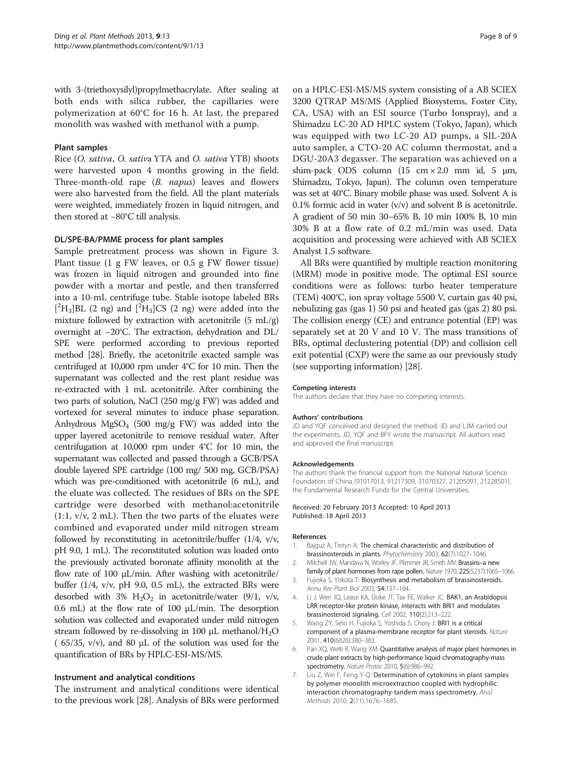<span id="page-7-0"></span>with 3-(triethoxysilyl)propylmethacrylate. After sealing at both ends with silica rubber, the capillaries were polymerization at 60°C for 16 h. At last, the prepared monolith was washed with methanol with a pump.

## Plant samples

Rice (O. sativa, O. sativa YTA and O. sativa YTB) shoots were harvested upon 4 months growing in the field. Three-month-old rape (B. napus) leaves and flowers were also harvested from the field. All the plant materials were weighted, immediately frozen in liquid nitrogen, and then stored at −80°C till analysis.

#### DL/SPE-BA/PMME process for plant samples

Sample pretreatment process was shown in Figure [3](#page-2-0). Plant tissue (1 g FW leaves, or 0.5 g FW flower tissue) was frozen in liquid nitrogen and grounded into fine powder with a mortar and pestle, and then transferred into a 10-mL centrifuge tube. Stable isotope labeled BRs  $[^{2}H_{3}]$ BL (2 ng) and  $[^{2}H_{3}]$ CS (2 ng) were added into the mixture followed by extraction with acetonitrile  $(5 \text{ mL/g})$ overnight at −20°C. The extraction, dehydration and DL/ SPE were performed according to previous reported method [[28\]](#page-8-0). Briefly, the acetonitrile exacted sample was centrifuged at 10,000 rpm under 4°C for 10 min. Then the supernatant was collected and the rest plant residue was re-extracted with 1 mL acetonitrile. After combining the two parts of solution, NaCl (250 mg/g FW) was added and vortexed for several minutes to induce phase separation. Anhydrous  $MgSO_4$  (500 mg/g FW) was added into the upper layered acetonitrile to remove residual water. After centrifugation at 10,000 rpm under 4°C for 10 min, the supernatant was collected and passed through a GCB/PSA double layered SPE cartridge (100 mg/ 500 mg, GCB/PSA) which was pre-conditioned with acetonitrile (6 mL), and the eluate was collected. The residues of BRs on the SPE cartridge were desorbed with methanol:acetonitrile (1:1, v/v, 2 mL). Then the two parts of the eluates were combined and evaporated under mild nitrogen stream followed by reconstituting in acetonitrile/buffer (1/4, v/v, pH 9.0, 1 mL). The reconstituted solution was loaded onto the previously activated boronate affinity monolith at the flow rate of 100 μL/min. After washing with acetonitrile/ buffer  $(1/4, v/v, pH 9.0, 0.5 mL)$ , the extracted BRs were desorbed with 3%  $H_2O_2$  in acetonitrile/water (9/1, v/v, 0.6 mL) at the flow rate of 100  $\mu$ L/min. The desorption solution was collected and evaporated under mild nitrogen stream followed by re-dissolving in 100  $\mu$ L methanol/H<sub>2</sub>O ( 65/35, v/v), and 80 μL of the solution was used for the quantification of BRs by HPLC-ESI-MS/MS.

## Instrument and analytical conditions

The instrument and analytical conditions were identical to the previous work [\[28\]](#page-8-0). Analysis of BRs were performed

on a HPLC-ESI-MS/MS system consisting of a AB SCIEX 3200 QTRAP MS/MS (Applied Biosystems, Foster City, CA, USA) with an ESI source (Turbo Ionspray), and a Shimadzu LC-20 AD HPLC system (Tokyo, Japan), which was equipped with two LC-20 AD pumps, a SIL-20A auto sampler, a CTO-20 AC column thermostat, and a DGU-20A3 degasser. The separation was achieved on a shim-pack ODS column  $(15 \text{ cm} \times 2.0 \text{ mm} \text{ id}, 5 \text{ \mu m})$ Shimadzu, Tokyo, Japan). The column oven temperature was set at 40°C. Binary mobile phase was used. Solvent A is 0.1% formic acid in water  $(v/v)$  and solvent B is acetonitrile. A gradient of 50 min 30–65% B, 10 min 100% B, 10 min 30% B at a flow rate of 0.2 mL/min was used. Data acquisition and processing were achieved with AB SCIEX Analyst 1.5 software.

All BRs were quantified by multiple reaction monitoring (MRM) mode in positive mode. The optimal ESI source conditions were as follows: turbo heater temperature (TEM) 400°C, ion spray voltage 5500 V, curtain gas 40 psi, nebulizing gas (gas 1) 50 psi and heated gas (gas 2) 80 psi. The collision energy (CE) and entrance potential (EP) was separately set at 20 V and 10 V. The mass transitions of BRs, optimal declustering potential (DP) and collision cell exit potential (CXP) were the same as our previously study (see supporting information) [\[28\]](#page-8-0).

#### Competing interests

The authors declare that they have no competing interests.

#### Authors' contributions

JD and YQF conceived and designed the method. JD and LJM carried out the experiments. JD, YQF and BFY wrote the manuscript. All authors read and approved the final manuscript.

#### Acknowledgements

The authors thank the financial support from the National Natural Science Foundation of China (91017013, 91217309, 31070327, 21205091, 21228501), the Fundamental Research Funds for the Central Universities.

#### Received: 20 February 2013 Accepted: 10 April 2013 Published: 18 April 2013

#### References

- 1. Bajguz A, Tretyn A: The chemical characteristic and distribution of brassinosteroids in plants. Phytochemistry 2003, 62(7):1027–1046.
- Mitchell JW, Mandava N, Worley JF, Plimmer JR, Smith MV: Brassins-a new family of plant hormones from rape pollen. Nature 1970, 225(5237):1065-1066.
- 3. Fujioka S, Yokota T: Biosynthesis and metabolism of brassinosteroids. Annu Rev Plant Biol 2003, 54:137–164.
- 4. Li J, Wen JQ, Lease KA, Doke JT, Tax FE, Walker JC: BAK1, an Arabidopsis LRR receptor-like protein kinase, interacts with BRI1 and modulates brassinosteroid signaling. Cell 2002, 110(2):213–222.
- Wang ZY, Seto H, Fujioka S, Yoshida S, Chory J: BRI1 is a critical component of a plasma-membrane receptor for plant steroids. Nature 2001, 410(6826):380–383.
- 6. Pan XQ, Welti R, Wang XM: Quantitative analysis of major plant hormones in crude plant extracts by high-performance liquid chromatography-mass spectrometry. Nature Protoc 2010, 5(6):986–992.
- 7. Liu Z, Wei F, Feng Y-Q: Determination of cytokinins in plant samples by polymer monolith microextraction coupled with hydrophilic interaction chromatography-tandem mass spectrometry. Anal Methods 2010, 2(11):1676–1685.